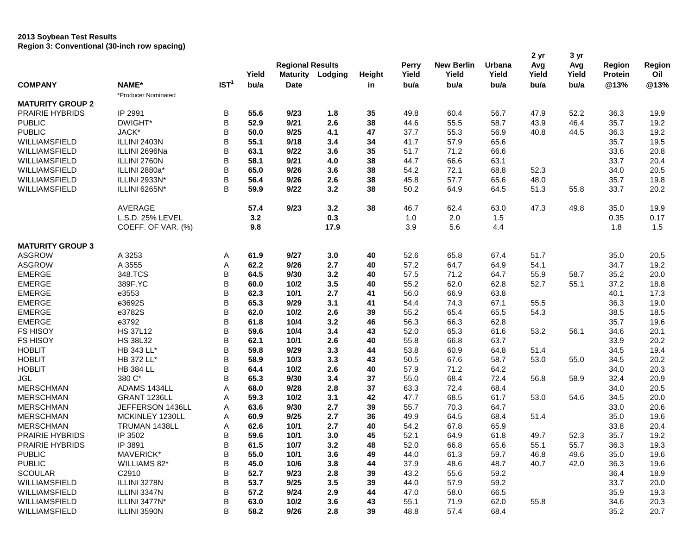## **2013 Soybean Test Results Region 3: Conventional (30-inch row spacing)**

| <b>Region</b><br>Yield<br>Yield<br>Yield<br>Yield<br>Yield<br>Oil<br><b>Maturity</b><br>Lodging<br>Yield<br><b>Protein</b><br>Height<br>IST <sup>1</sup><br>@13%<br><b>COMPANY</b><br>NAME*<br>bu/a<br>bu/a<br>bu/a<br>bu/a<br>@13%<br>Date<br>bu/a<br>bu/a<br>in<br>*Producer Nominated<br><b>MATURITY GROUP 2</b><br><b>PRAIRIE HYBRIDS</b><br>IP 2991<br>В<br>55.6<br>9/23<br>1.8<br>35<br>56.7<br>52.2<br>36.3<br>49.8<br>60.4<br>47.9<br>19.9<br>B<br>DWIGHT*<br>52.9<br>9/21<br>2.6<br>38<br><b>PUBLIC</b><br>44.6<br>55.5<br>58.7<br>43.9<br>46.4<br>35.7<br>19.2<br>B<br><b>PUBLIC</b><br>JACK*<br>50.0<br>9/25<br>47<br>56.9<br>19.2<br>4.1<br>37.7<br>55.3<br>40.8<br>44.5<br>36.3<br>B<br>ILLINI 2403N<br>55.1<br>9/18<br>41.7<br>65.6<br>35.7<br>19.5<br>WILLIAMSFIELD<br>3.4<br>34<br>57.9<br>B<br>WILLIAMSFIELD<br>ILLINI 2696Na<br>63.1<br>9/22<br>3.6<br>35<br>51.7<br>71.2<br>66.6<br>33.6<br>20.8<br>B<br>WILLIAMSFIELD<br>ILLINI 2760N<br>58.1<br>9/21<br>4.0<br>38<br>44.7<br>66.6<br>63.1<br>33.7<br>20.4<br>B<br>ILLINI 2880a*<br>WILLIAMSFIELD<br>65.0<br>9/26<br>3.6<br>38<br>54.2<br>72.1<br>68.8<br>52.3<br>20.5<br>34.0<br>B<br>WILLIAMSFIELD<br>ILLINI 2933N*<br>56.4<br>9/26<br>2.6<br>38<br>45.8<br>57.7<br>65.6<br>48.0<br>35.7<br>19.8<br>B<br>WILLIAMSFIELD<br>ILLINI 6265N*<br>9/22<br>3.2<br>38<br>50.2<br>64.5<br>33.7<br>20.2<br>59.9<br>64.9<br>51.3<br>55.8<br><b>AVERAGE</b><br>57.4<br>9/23<br>3.2<br>38<br>46.7<br>63.0<br>47.3<br>49.8<br>35.0<br>19.9<br>62.4<br>3.2<br>0.3<br>L.S.D. 25% LEVEL<br>1.0<br>2.0<br>1.5<br>0.35<br>0.17<br>COEFF. OF VAR. (%)<br>9.8<br>17.9<br>3.9<br>5.6<br>4.4<br>1.8<br>1.5<br><b>MATURITY GROUP 3</b><br><b>ASGROW</b><br>A 3253<br>61.9<br>9/27<br>3.0<br>40<br>52.6<br>65.8<br>67.4<br>51.7<br>35.0<br>20.5<br>Α<br><b>ASGROW</b><br>A 3555<br>Α<br>62.2<br>9/26<br>2.7<br>57.2<br>64.7<br>64.9<br>54.1<br>34.7<br>19.2<br>40<br>B<br><b>EMERGE</b><br>348.TCS<br>64.5<br>3.2<br>57.5<br>71.2<br>55.9<br>35.2<br>20.0<br>9/30<br>40<br>64.7<br>58.7<br>B<br><b>EMERGE</b><br>389F.YC<br>3.5<br>55.2<br>62.0<br>62.8<br>37.2<br>18.8<br>60.0<br>10/2<br>40<br>52.7<br>55.1<br>B<br><b>EMERGE</b><br>e3553<br>62.3<br>10/1<br>2.7<br>56.0<br>66.9<br>63.8<br>17.3<br>41<br>40.1<br>B<br>e3692S<br><b>EMERGE</b><br>65.3<br>9/29<br>3.1<br>54.4<br>74.3<br>67.1<br>55.5<br>36.3<br>19.0<br>41<br>B<br><b>EMERGE</b><br>e3782S<br>62.0<br>10/2<br>2.6<br>39<br>55.2<br>65.4<br>65.5<br>54.3<br>38.5<br>18.5<br>B<br><b>EMERGE</b><br>e3792<br>61.8<br>10/4<br>3.2<br>56.3<br>62.8<br>19.6<br>46<br>66.3<br>35.7<br>B<br><b>FS HISOY</b><br><b>HS 37L12</b><br>52.0<br>65.3<br>61.6<br>56.1<br>20.1<br>59.6<br>10/4<br>3.4<br>43<br>53.2<br>34.6<br>B<br>20.2<br><b>FS HISOY</b><br><b>HS 38L32</b><br>62.1<br>10/1<br>2.6<br>55.8<br>66.8<br>63.7<br>33.9<br>40<br>B<br><b>HOBLIT</b><br>HB 343 LL*<br>59.8<br>9/29<br>3.3<br>53.8<br>60.9<br>64.8<br>51.4<br>19.4<br>44<br>34.5<br>B<br><b>HOBLIT</b><br>HB 372 LL*<br>58.9<br>10/3<br>3.3<br>43<br>50.5<br>67.6<br>58.7<br>20.2<br>53.0<br>55.0<br>34.5<br>B<br>20.3<br><b>HOBLIT</b><br><b>HB 384 LL</b><br>64.4<br>10/2<br>2.6<br>57.9<br>71.2<br>64.2<br>40<br>34.0<br>B<br>380 C*<br><b>JGL</b><br>65.3<br>9/30<br>3.4<br>55.0<br>68.4<br>72.4<br>32.4<br>20.9<br>37<br>56.8<br>58.9<br><b>MERSCHMAN</b><br>ADAMS 1434LL<br>Α<br>68.0<br>9/28<br>2.8<br>37<br>63.3<br>72.4<br>68.4<br>20.5<br>34.0<br><b>MERSCHMAN</b><br>GRANT 1236LL<br>Α<br>59.3<br>10/2<br>3.1<br>42<br>47.7<br>61.7<br>20.0<br>68.5<br>53.0<br>54.6<br>34.5<br><b>MERSCHMAN</b><br>JEFFERSON 1436LL<br>Α<br>63.6<br>9/30<br>2.7<br>39<br>55.7<br>70.3<br>64.7<br>33.0<br>20.6<br><b>MERSCHMAN</b><br>MCKINLEY 1230LL<br>Α<br>2.7<br>49.9<br>19.6<br>60.9<br>9/25<br>36<br>64.5<br>68.4<br>51.4<br>35.0<br><b>MERSCHMAN</b><br>2.7<br>54.2<br>67.8<br>65.9<br>33.8<br>20.4<br>TRUMAN 1438LL<br>Α<br>62.6<br>10/1<br>40<br>B<br>PRAIRIE HYBRIDS<br>59.6<br>10/1<br>3.0<br>52.1<br>61.8<br>19.2<br>IP 3502<br>45<br>64.9<br>49.7<br>52.3<br>35.7<br>B<br>PRAIRIE HYBRIDS<br>IP 3891<br>61.5<br>10/7<br>3.2<br>48<br>52.0<br>66.8<br>65.6<br>55.1<br>55.7<br>36.3<br>19.3<br>B<br>MAVERICK*<br><b>PUBLIC</b><br>55.0<br>10/1<br>3.6<br>49<br>44.0<br>61.3<br>59.7<br>49.6<br>35.0<br>19.6<br>46.8<br><b>PUBLIC</b><br>B<br>37.9<br>WILLIAMS 82*<br>45.0<br>10/6<br>3.8<br>44<br>48.6<br>48.7<br>40.7<br>42.0<br>36.3<br>19.6<br>B<br><b>SCOULAR</b><br>C2910<br>52.7<br>9/23<br>2.8<br>39<br>43.2<br>55.6<br>59.2<br>36.4<br>18.9<br>B<br>WILLIAMSFIELD<br>ILLINI 3278N<br>9/25<br>3.5<br>39<br>57.9<br>59.2<br>53.7<br>44.0<br>33.7<br>20.0<br>B<br>WILLIAMSFIELD<br>ILLINI 3347N<br>57.2<br>9/24<br>2.9<br>44<br>47.0<br>66.5<br>19.3<br>58.0<br>35.9<br>B<br>WILLIAMSFIELD<br>ILLINI 3477N*<br>10/2<br>3.6<br>43<br>55.1<br>62.0<br>63.0<br>71.9<br>55.8<br>34.6<br>20.3<br>В<br>WILLIAMSFIELD<br>ILLINI 3590N<br>58.2<br>9/26<br>2.8<br>39<br>48.8<br>57.4<br>68.4<br>35.2<br>20.7 |  |  |                         |  |  |              |                   |        | 2 yr | 3 yr |        |
|-------------------------------------------------------------------------------------------------------------------------------------------------------------------------------------------------------------------------------------------------------------------------------------------------------------------------------------------------------------------------------------------------------------------------------------------------------------------------------------------------------------------------------------------------------------------------------------------------------------------------------------------------------------------------------------------------------------------------------------------------------------------------------------------------------------------------------------------------------------------------------------------------------------------------------------------------------------------------------------------------------------------------------------------------------------------------------------------------------------------------------------------------------------------------------------------------------------------------------------------------------------------------------------------------------------------------------------------------------------------------------------------------------------------------------------------------------------------------------------------------------------------------------------------------------------------------------------------------------------------------------------------------------------------------------------------------------------------------------------------------------------------------------------------------------------------------------------------------------------------------------------------------------------------------------------------------------------------------------------------------------------------------------------------------------------------------------------------------------------------------------------------------------------------------------------------------------------------------------------------------------------------------------------------------------------------------------------------------------------------------------------------------------------------------------------------------------------------------------------------------------------------------------------------------------------------------------------------------------------------------------------------------------------------------------------------------------------------------------------------------------------------------------------------------------------------------------------------------------------------------------------------------------------------------------------------------------------------------------------------------------------------------------------------------------------------------------------------------------------------------------------------------------------------------------------------------------------------------------------------------------------------------------------------------------------------------------------------------------------------------------------------------------------------------------------------------------------------------------------------------------------------------------------------------------------------------------------------------------------------------------------------------------------------------------------------------------------------------------------------------------------------------------------------------------------------------------------------------------------------------------------------------------------------------------------------------------------------------------------------------------------------------------------------------------------------------------------------------------------------------------------------------------------------------------------------------------------------------------------------------------------------------------------------------------------------------------------------------------------------------------------------------------------------------------------------------------------------------------------------------------------------------------------------------------------------------------------------------------------------------------------------------------------------------------------------------------------------------------------------------------------------------------------------------------------------------------------------------------------------------------------------------------------------------------------------------------------------------------------------|--|--|-------------------------|--|--|--------------|-------------------|--------|------|------|--------|
|                                                                                                                                                                                                                                                                                                                                                                                                                                                                                                                                                                                                                                                                                                                                                                                                                                                                                                                                                                                                                                                                                                                                                                                                                                                                                                                                                                                                                                                                                                                                                                                                                                                                                                                                                                                                                                                                                                                                                                                                                                                                                                                                                                                                                                                                                                                                                                                                                                                                                                                                                                                                                                                                                                                                                                                                                                                                                                                                                                                                                                                                                                                                                                                                                                                                                                                                                                                                                                                                                                                                                                                                                                                                                                                                                                                                                                                                                                                                                                                                                                                                                                                                                                                                                                                                                                                                                                                                                                                                                                                                                                                                                                                                                                                                                                                                                                                                                                                                                                                           |  |  | <b>Regional Results</b> |  |  | <b>Perry</b> | <b>New Berlin</b> | Urbana | Avg  | Avg  | Region |
|                                                                                                                                                                                                                                                                                                                                                                                                                                                                                                                                                                                                                                                                                                                                                                                                                                                                                                                                                                                                                                                                                                                                                                                                                                                                                                                                                                                                                                                                                                                                                                                                                                                                                                                                                                                                                                                                                                                                                                                                                                                                                                                                                                                                                                                                                                                                                                                                                                                                                                                                                                                                                                                                                                                                                                                                                                                                                                                                                                                                                                                                                                                                                                                                                                                                                                                                                                                                                                                                                                                                                                                                                                                                                                                                                                                                                                                                                                                                                                                                                                                                                                                                                                                                                                                                                                                                                                                                                                                                                                                                                                                                                                                                                                                                                                                                                                                                                                                                                                                           |  |  |                         |  |  |              |                   |        |      |      |        |
|                                                                                                                                                                                                                                                                                                                                                                                                                                                                                                                                                                                                                                                                                                                                                                                                                                                                                                                                                                                                                                                                                                                                                                                                                                                                                                                                                                                                                                                                                                                                                                                                                                                                                                                                                                                                                                                                                                                                                                                                                                                                                                                                                                                                                                                                                                                                                                                                                                                                                                                                                                                                                                                                                                                                                                                                                                                                                                                                                                                                                                                                                                                                                                                                                                                                                                                                                                                                                                                                                                                                                                                                                                                                                                                                                                                                                                                                                                                                                                                                                                                                                                                                                                                                                                                                                                                                                                                                                                                                                                                                                                                                                                                                                                                                                                                                                                                                                                                                                                                           |  |  |                         |  |  |              |                   |        |      |      |        |
|                                                                                                                                                                                                                                                                                                                                                                                                                                                                                                                                                                                                                                                                                                                                                                                                                                                                                                                                                                                                                                                                                                                                                                                                                                                                                                                                                                                                                                                                                                                                                                                                                                                                                                                                                                                                                                                                                                                                                                                                                                                                                                                                                                                                                                                                                                                                                                                                                                                                                                                                                                                                                                                                                                                                                                                                                                                                                                                                                                                                                                                                                                                                                                                                                                                                                                                                                                                                                                                                                                                                                                                                                                                                                                                                                                                                                                                                                                                                                                                                                                                                                                                                                                                                                                                                                                                                                                                                                                                                                                                                                                                                                                                                                                                                                                                                                                                                                                                                                                                           |  |  |                         |  |  |              |                   |        |      |      |        |
|                                                                                                                                                                                                                                                                                                                                                                                                                                                                                                                                                                                                                                                                                                                                                                                                                                                                                                                                                                                                                                                                                                                                                                                                                                                                                                                                                                                                                                                                                                                                                                                                                                                                                                                                                                                                                                                                                                                                                                                                                                                                                                                                                                                                                                                                                                                                                                                                                                                                                                                                                                                                                                                                                                                                                                                                                                                                                                                                                                                                                                                                                                                                                                                                                                                                                                                                                                                                                                                                                                                                                                                                                                                                                                                                                                                                                                                                                                                                                                                                                                                                                                                                                                                                                                                                                                                                                                                                                                                                                                                                                                                                                                                                                                                                                                                                                                                                                                                                                                                           |  |  |                         |  |  |              |                   |        |      |      |        |
|                                                                                                                                                                                                                                                                                                                                                                                                                                                                                                                                                                                                                                                                                                                                                                                                                                                                                                                                                                                                                                                                                                                                                                                                                                                                                                                                                                                                                                                                                                                                                                                                                                                                                                                                                                                                                                                                                                                                                                                                                                                                                                                                                                                                                                                                                                                                                                                                                                                                                                                                                                                                                                                                                                                                                                                                                                                                                                                                                                                                                                                                                                                                                                                                                                                                                                                                                                                                                                                                                                                                                                                                                                                                                                                                                                                                                                                                                                                                                                                                                                                                                                                                                                                                                                                                                                                                                                                                                                                                                                                                                                                                                                                                                                                                                                                                                                                                                                                                                                                           |  |  |                         |  |  |              |                   |        |      |      |        |
|                                                                                                                                                                                                                                                                                                                                                                                                                                                                                                                                                                                                                                                                                                                                                                                                                                                                                                                                                                                                                                                                                                                                                                                                                                                                                                                                                                                                                                                                                                                                                                                                                                                                                                                                                                                                                                                                                                                                                                                                                                                                                                                                                                                                                                                                                                                                                                                                                                                                                                                                                                                                                                                                                                                                                                                                                                                                                                                                                                                                                                                                                                                                                                                                                                                                                                                                                                                                                                                                                                                                                                                                                                                                                                                                                                                                                                                                                                                                                                                                                                                                                                                                                                                                                                                                                                                                                                                                                                                                                                                                                                                                                                                                                                                                                                                                                                                                                                                                                                                           |  |  |                         |  |  |              |                   |        |      |      |        |
|                                                                                                                                                                                                                                                                                                                                                                                                                                                                                                                                                                                                                                                                                                                                                                                                                                                                                                                                                                                                                                                                                                                                                                                                                                                                                                                                                                                                                                                                                                                                                                                                                                                                                                                                                                                                                                                                                                                                                                                                                                                                                                                                                                                                                                                                                                                                                                                                                                                                                                                                                                                                                                                                                                                                                                                                                                                                                                                                                                                                                                                                                                                                                                                                                                                                                                                                                                                                                                                                                                                                                                                                                                                                                                                                                                                                                                                                                                                                                                                                                                                                                                                                                                                                                                                                                                                                                                                                                                                                                                                                                                                                                                                                                                                                                                                                                                                                                                                                                                                           |  |  |                         |  |  |              |                   |        |      |      |        |
|                                                                                                                                                                                                                                                                                                                                                                                                                                                                                                                                                                                                                                                                                                                                                                                                                                                                                                                                                                                                                                                                                                                                                                                                                                                                                                                                                                                                                                                                                                                                                                                                                                                                                                                                                                                                                                                                                                                                                                                                                                                                                                                                                                                                                                                                                                                                                                                                                                                                                                                                                                                                                                                                                                                                                                                                                                                                                                                                                                                                                                                                                                                                                                                                                                                                                                                                                                                                                                                                                                                                                                                                                                                                                                                                                                                                                                                                                                                                                                                                                                                                                                                                                                                                                                                                                                                                                                                                                                                                                                                                                                                                                                                                                                                                                                                                                                                                                                                                                                                           |  |  |                         |  |  |              |                   |        |      |      |        |
|                                                                                                                                                                                                                                                                                                                                                                                                                                                                                                                                                                                                                                                                                                                                                                                                                                                                                                                                                                                                                                                                                                                                                                                                                                                                                                                                                                                                                                                                                                                                                                                                                                                                                                                                                                                                                                                                                                                                                                                                                                                                                                                                                                                                                                                                                                                                                                                                                                                                                                                                                                                                                                                                                                                                                                                                                                                                                                                                                                                                                                                                                                                                                                                                                                                                                                                                                                                                                                                                                                                                                                                                                                                                                                                                                                                                                                                                                                                                                                                                                                                                                                                                                                                                                                                                                                                                                                                                                                                                                                                                                                                                                                                                                                                                                                                                                                                                                                                                                                                           |  |  |                         |  |  |              |                   |        |      |      |        |
|                                                                                                                                                                                                                                                                                                                                                                                                                                                                                                                                                                                                                                                                                                                                                                                                                                                                                                                                                                                                                                                                                                                                                                                                                                                                                                                                                                                                                                                                                                                                                                                                                                                                                                                                                                                                                                                                                                                                                                                                                                                                                                                                                                                                                                                                                                                                                                                                                                                                                                                                                                                                                                                                                                                                                                                                                                                                                                                                                                                                                                                                                                                                                                                                                                                                                                                                                                                                                                                                                                                                                                                                                                                                                                                                                                                                                                                                                                                                                                                                                                                                                                                                                                                                                                                                                                                                                                                                                                                                                                                                                                                                                                                                                                                                                                                                                                                                                                                                                                                           |  |  |                         |  |  |              |                   |        |      |      |        |
|                                                                                                                                                                                                                                                                                                                                                                                                                                                                                                                                                                                                                                                                                                                                                                                                                                                                                                                                                                                                                                                                                                                                                                                                                                                                                                                                                                                                                                                                                                                                                                                                                                                                                                                                                                                                                                                                                                                                                                                                                                                                                                                                                                                                                                                                                                                                                                                                                                                                                                                                                                                                                                                                                                                                                                                                                                                                                                                                                                                                                                                                                                                                                                                                                                                                                                                                                                                                                                                                                                                                                                                                                                                                                                                                                                                                                                                                                                                                                                                                                                                                                                                                                                                                                                                                                                                                                                                                                                                                                                                                                                                                                                                                                                                                                                                                                                                                                                                                                                                           |  |  |                         |  |  |              |                   |        |      |      |        |
|                                                                                                                                                                                                                                                                                                                                                                                                                                                                                                                                                                                                                                                                                                                                                                                                                                                                                                                                                                                                                                                                                                                                                                                                                                                                                                                                                                                                                                                                                                                                                                                                                                                                                                                                                                                                                                                                                                                                                                                                                                                                                                                                                                                                                                                                                                                                                                                                                                                                                                                                                                                                                                                                                                                                                                                                                                                                                                                                                                                                                                                                                                                                                                                                                                                                                                                                                                                                                                                                                                                                                                                                                                                                                                                                                                                                                                                                                                                                                                                                                                                                                                                                                                                                                                                                                                                                                                                                                                                                                                                                                                                                                                                                                                                                                                                                                                                                                                                                                                                           |  |  |                         |  |  |              |                   |        |      |      |        |
|                                                                                                                                                                                                                                                                                                                                                                                                                                                                                                                                                                                                                                                                                                                                                                                                                                                                                                                                                                                                                                                                                                                                                                                                                                                                                                                                                                                                                                                                                                                                                                                                                                                                                                                                                                                                                                                                                                                                                                                                                                                                                                                                                                                                                                                                                                                                                                                                                                                                                                                                                                                                                                                                                                                                                                                                                                                                                                                                                                                                                                                                                                                                                                                                                                                                                                                                                                                                                                                                                                                                                                                                                                                                                                                                                                                                                                                                                                                                                                                                                                                                                                                                                                                                                                                                                                                                                                                                                                                                                                                                                                                                                                                                                                                                                                                                                                                                                                                                                                                           |  |  |                         |  |  |              |                   |        |      |      |        |
|                                                                                                                                                                                                                                                                                                                                                                                                                                                                                                                                                                                                                                                                                                                                                                                                                                                                                                                                                                                                                                                                                                                                                                                                                                                                                                                                                                                                                                                                                                                                                                                                                                                                                                                                                                                                                                                                                                                                                                                                                                                                                                                                                                                                                                                                                                                                                                                                                                                                                                                                                                                                                                                                                                                                                                                                                                                                                                                                                                                                                                                                                                                                                                                                                                                                                                                                                                                                                                                                                                                                                                                                                                                                                                                                                                                                                                                                                                                                                                                                                                                                                                                                                                                                                                                                                                                                                                                                                                                                                                                                                                                                                                                                                                                                                                                                                                                                                                                                                                                           |  |  |                         |  |  |              |                   |        |      |      |        |
|                                                                                                                                                                                                                                                                                                                                                                                                                                                                                                                                                                                                                                                                                                                                                                                                                                                                                                                                                                                                                                                                                                                                                                                                                                                                                                                                                                                                                                                                                                                                                                                                                                                                                                                                                                                                                                                                                                                                                                                                                                                                                                                                                                                                                                                                                                                                                                                                                                                                                                                                                                                                                                                                                                                                                                                                                                                                                                                                                                                                                                                                                                                                                                                                                                                                                                                                                                                                                                                                                                                                                                                                                                                                                                                                                                                                                                                                                                                                                                                                                                                                                                                                                                                                                                                                                                                                                                                                                                                                                                                                                                                                                                                                                                                                                                                                                                                                                                                                                                                           |  |  |                         |  |  |              |                   |        |      |      |        |
|                                                                                                                                                                                                                                                                                                                                                                                                                                                                                                                                                                                                                                                                                                                                                                                                                                                                                                                                                                                                                                                                                                                                                                                                                                                                                                                                                                                                                                                                                                                                                                                                                                                                                                                                                                                                                                                                                                                                                                                                                                                                                                                                                                                                                                                                                                                                                                                                                                                                                                                                                                                                                                                                                                                                                                                                                                                                                                                                                                                                                                                                                                                                                                                                                                                                                                                                                                                                                                                                                                                                                                                                                                                                                                                                                                                                                                                                                                                                                                                                                                                                                                                                                                                                                                                                                                                                                                                                                                                                                                                                                                                                                                                                                                                                                                                                                                                                                                                                                                                           |  |  |                         |  |  |              |                   |        |      |      |        |
|                                                                                                                                                                                                                                                                                                                                                                                                                                                                                                                                                                                                                                                                                                                                                                                                                                                                                                                                                                                                                                                                                                                                                                                                                                                                                                                                                                                                                                                                                                                                                                                                                                                                                                                                                                                                                                                                                                                                                                                                                                                                                                                                                                                                                                                                                                                                                                                                                                                                                                                                                                                                                                                                                                                                                                                                                                                                                                                                                                                                                                                                                                                                                                                                                                                                                                                                                                                                                                                                                                                                                                                                                                                                                                                                                                                                                                                                                                                                                                                                                                                                                                                                                                                                                                                                                                                                                                                                                                                                                                                                                                                                                                                                                                                                                                                                                                                                                                                                                                                           |  |  |                         |  |  |              |                   |        |      |      |        |
|                                                                                                                                                                                                                                                                                                                                                                                                                                                                                                                                                                                                                                                                                                                                                                                                                                                                                                                                                                                                                                                                                                                                                                                                                                                                                                                                                                                                                                                                                                                                                                                                                                                                                                                                                                                                                                                                                                                                                                                                                                                                                                                                                                                                                                                                                                                                                                                                                                                                                                                                                                                                                                                                                                                                                                                                                                                                                                                                                                                                                                                                                                                                                                                                                                                                                                                                                                                                                                                                                                                                                                                                                                                                                                                                                                                                                                                                                                                                                                                                                                                                                                                                                                                                                                                                                                                                                                                                                                                                                                                                                                                                                                                                                                                                                                                                                                                                                                                                                                                           |  |  |                         |  |  |              |                   |        |      |      |        |
|                                                                                                                                                                                                                                                                                                                                                                                                                                                                                                                                                                                                                                                                                                                                                                                                                                                                                                                                                                                                                                                                                                                                                                                                                                                                                                                                                                                                                                                                                                                                                                                                                                                                                                                                                                                                                                                                                                                                                                                                                                                                                                                                                                                                                                                                                                                                                                                                                                                                                                                                                                                                                                                                                                                                                                                                                                                                                                                                                                                                                                                                                                                                                                                                                                                                                                                                                                                                                                                                                                                                                                                                                                                                                                                                                                                                                                                                                                                                                                                                                                                                                                                                                                                                                                                                                                                                                                                                                                                                                                                                                                                                                                                                                                                                                                                                                                                                                                                                                                                           |  |  |                         |  |  |              |                   |        |      |      |        |
|                                                                                                                                                                                                                                                                                                                                                                                                                                                                                                                                                                                                                                                                                                                                                                                                                                                                                                                                                                                                                                                                                                                                                                                                                                                                                                                                                                                                                                                                                                                                                                                                                                                                                                                                                                                                                                                                                                                                                                                                                                                                                                                                                                                                                                                                                                                                                                                                                                                                                                                                                                                                                                                                                                                                                                                                                                                                                                                                                                                                                                                                                                                                                                                                                                                                                                                                                                                                                                                                                                                                                                                                                                                                                                                                                                                                                                                                                                                                                                                                                                                                                                                                                                                                                                                                                                                                                                                                                                                                                                                                                                                                                                                                                                                                                                                                                                                                                                                                                                                           |  |  |                         |  |  |              |                   |        |      |      |        |
|                                                                                                                                                                                                                                                                                                                                                                                                                                                                                                                                                                                                                                                                                                                                                                                                                                                                                                                                                                                                                                                                                                                                                                                                                                                                                                                                                                                                                                                                                                                                                                                                                                                                                                                                                                                                                                                                                                                                                                                                                                                                                                                                                                                                                                                                                                                                                                                                                                                                                                                                                                                                                                                                                                                                                                                                                                                                                                                                                                                                                                                                                                                                                                                                                                                                                                                                                                                                                                                                                                                                                                                                                                                                                                                                                                                                                                                                                                                                                                                                                                                                                                                                                                                                                                                                                                                                                                                                                                                                                                                                                                                                                                                                                                                                                                                                                                                                                                                                                                                           |  |  |                         |  |  |              |                   |        |      |      |        |
|                                                                                                                                                                                                                                                                                                                                                                                                                                                                                                                                                                                                                                                                                                                                                                                                                                                                                                                                                                                                                                                                                                                                                                                                                                                                                                                                                                                                                                                                                                                                                                                                                                                                                                                                                                                                                                                                                                                                                                                                                                                                                                                                                                                                                                                                                                                                                                                                                                                                                                                                                                                                                                                                                                                                                                                                                                                                                                                                                                                                                                                                                                                                                                                                                                                                                                                                                                                                                                                                                                                                                                                                                                                                                                                                                                                                                                                                                                                                                                                                                                                                                                                                                                                                                                                                                                                                                                                                                                                                                                                                                                                                                                                                                                                                                                                                                                                                                                                                                                                           |  |  |                         |  |  |              |                   |        |      |      |        |
|                                                                                                                                                                                                                                                                                                                                                                                                                                                                                                                                                                                                                                                                                                                                                                                                                                                                                                                                                                                                                                                                                                                                                                                                                                                                                                                                                                                                                                                                                                                                                                                                                                                                                                                                                                                                                                                                                                                                                                                                                                                                                                                                                                                                                                                                                                                                                                                                                                                                                                                                                                                                                                                                                                                                                                                                                                                                                                                                                                                                                                                                                                                                                                                                                                                                                                                                                                                                                                                                                                                                                                                                                                                                                                                                                                                                                                                                                                                                                                                                                                                                                                                                                                                                                                                                                                                                                                                                                                                                                                                                                                                                                                                                                                                                                                                                                                                                                                                                                                                           |  |  |                         |  |  |              |                   |        |      |      |        |
|                                                                                                                                                                                                                                                                                                                                                                                                                                                                                                                                                                                                                                                                                                                                                                                                                                                                                                                                                                                                                                                                                                                                                                                                                                                                                                                                                                                                                                                                                                                                                                                                                                                                                                                                                                                                                                                                                                                                                                                                                                                                                                                                                                                                                                                                                                                                                                                                                                                                                                                                                                                                                                                                                                                                                                                                                                                                                                                                                                                                                                                                                                                                                                                                                                                                                                                                                                                                                                                                                                                                                                                                                                                                                                                                                                                                                                                                                                                                                                                                                                                                                                                                                                                                                                                                                                                                                                                                                                                                                                                                                                                                                                                                                                                                                                                                                                                                                                                                                                                           |  |  |                         |  |  |              |                   |        |      |      |        |
|                                                                                                                                                                                                                                                                                                                                                                                                                                                                                                                                                                                                                                                                                                                                                                                                                                                                                                                                                                                                                                                                                                                                                                                                                                                                                                                                                                                                                                                                                                                                                                                                                                                                                                                                                                                                                                                                                                                                                                                                                                                                                                                                                                                                                                                                                                                                                                                                                                                                                                                                                                                                                                                                                                                                                                                                                                                                                                                                                                                                                                                                                                                                                                                                                                                                                                                                                                                                                                                                                                                                                                                                                                                                                                                                                                                                                                                                                                                                                                                                                                                                                                                                                                                                                                                                                                                                                                                                                                                                                                                                                                                                                                                                                                                                                                                                                                                                                                                                                                                           |  |  |                         |  |  |              |                   |        |      |      |        |
|                                                                                                                                                                                                                                                                                                                                                                                                                                                                                                                                                                                                                                                                                                                                                                                                                                                                                                                                                                                                                                                                                                                                                                                                                                                                                                                                                                                                                                                                                                                                                                                                                                                                                                                                                                                                                                                                                                                                                                                                                                                                                                                                                                                                                                                                                                                                                                                                                                                                                                                                                                                                                                                                                                                                                                                                                                                                                                                                                                                                                                                                                                                                                                                                                                                                                                                                                                                                                                                                                                                                                                                                                                                                                                                                                                                                                                                                                                                                                                                                                                                                                                                                                                                                                                                                                                                                                                                                                                                                                                                                                                                                                                                                                                                                                                                                                                                                                                                                                                                           |  |  |                         |  |  |              |                   |        |      |      |        |
|                                                                                                                                                                                                                                                                                                                                                                                                                                                                                                                                                                                                                                                                                                                                                                                                                                                                                                                                                                                                                                                                                                                                                                                                                                                                                                                                                                                                                                                                                                                                                                                                                                                                                                                                                                                                                                                                                                                                                                                                                                                                                                                                                                                                                                                                                                                                                                                                                                                                                                                                                                                                                                                                                                                                                                                                                                                                                                                                                                                                                                                                                                                                                                                                                                                                                                                                                                                                                                                                                                                                                                                                                                                                                                                                                                                                                                                                                                                                                                                                                                                                                                                                                                                                                                                                                                                                                                                                                                                                                                                                                                                                                                                                                                                                                                                                                                                                                                                                                                                           |  |  |                         |  |  |              |                   |        |      |      |        |
|                                                                                                                                                                                                                                                                                                                                                                                                                                                                                                                                                                                                                                                                                                                                                                                                                                                                                                                                                                                                                                                                                                                                                                                                                                                                                                                                                                                                                                                                                                                                                                                                                                                                                                                                                                                                                                                                                                                                                                                                                                                                                                                                                                                                                                                                                                                                                                                                                                                                                                                                                                                                                                                                                                                                                                                                                                                                                                                                                                                                                                                                                                                                                                                                                                                                                                                                                                                                                                                                                                                                                                                                                                                                                                                                                                                                                                                                                                                                                                                                                                                                                                                                                                                                                                                                                                                                                                                                                                                                                                                                                                                                                                                                                                                                                                                                                                                                                                                                                                                           |  |  |                         |  |  |              |                   |        |      |      |        |
|                                                                                                                                                                                                                                                                                                                                                                                                                                                                                                                                                                                                                                                                                                                                                                                                                                                                                                                                                                                                                                                                                                                                                                                                                                                                                                                                                                                                                                                                                                                                                                                                                                                                                                                                                                                                                                                                                                                                                                                                                                                                                                                                                                                                                                                                                                                                                                                                                                                                                                                                                                                                                                                                                                                                                                                                                                                                                                                                                                                                                                                                                                                                                                                                                                                                                                                                                                                                                                                                                                                                                                                                                                                                                                                                                                                                                                                                                                                                                                                                                                                                                                                                                                                                                                                                                                                                                                                                                                                                                                                                                                                                                                                                                                                                                                                                                                                                                                                                                                                           |  |  |                         |  |  |              |                   |        |      |      |        |
|                                                                                                                                                                                                                                                                                                                                                                                                                                                                                                                                                                                                                                                                                                                                                                                                                                                                                                                                                                                                                                                                                                                                                                                                                                                                                                                                                                                                                                                                                                                                                                                                                                                                                                                                                                                                                                                                                                                                                                                                                                                                                                                                                                                                                                                                                                                                                                                                                                                                                                                                                                                                                                                                                                                                                                                                                                                                                                                                                                                                                                                                                                                                                                                                                                                                                                                                                                                                                                                                                                                                                                                                                                                                                                                                                                                                                                                                                                                                                                                                                                                                                                                                                                                                                                                                                                                                                                                                                                                                                                                                                                                                                                                                                                                                                                                                                                                                                                                                                                                           |  |  |                         |  |  |              |                   |        |      |      |        |
|                                                                                                                                                                                                                                                                                                                                                                                                                                                                                                                                                                                                                                                                                                                                                                                                                                                                                                                                                                                                                                                                                                                                                                                                                                                                                                                                                                                                                                                                                                                                                                                                                                                                                                                                                                                                                                                                                                                                                                                                                                                                                                                                                                                                                                                                                                                                                                                                                                                                                                                                                                                                                                                                                                                                                                                                                                                                                                                                                                                                                                                                                                                                                                                                                                                                                                                                                                                                                                                                                                                                                                                                                                                                                                                                                                                                                                                                                                                                                                                                                                                                                                                                                                                                                                                                                                                                                                                                                                                                                                                                                                                                                                                                                                                                                                                                                                                                                                                                                                                           |  |  |                         |  |  |              |                   |        |      |      |        |
|                                                                                                                                                                                                                                                                                                                                                                                                                                                                                                                                                                                                                                                                                                                                                                                                                                                                                                                                                                                                                                                                                                                                                                                                                                                                                                                                                                                                                                                                                                                                                                                                                                                                                                                                                                                                                                                                                                                                                                                                                                                                                                                                                                                                                                                                                                                                                                                                                                                                                                                                                                                                                                                                                                                                                                                                                                                                                                                                                                                                                                                                                                                                                                                                                                                                                                                                                                                                                                                                                                                                                                                                                                                                                                                                                                                                                                                                                                                                                                                                                                                                                                                                                                                                                                                                                                                                                                                                                                                                                                                                                                                                                                                                                                                                                                                                                                                                                                                                                                                           |  |  |                         |  |  |              |                   |        |      |      |        |
|                                                                                                                                                                                                                                                                                                                                                                                                                                                                                                                                                                                                                                                                                                                                                                                                                                                                                                                                                                                                                                                                                                                                                                                                                                                                                                                                                                                                                                                                                                                                                                                                                                                                                                                                                                                                                                                                                                                                                                                                                                                                                                                                                                                                                                                                                                                                                                                                                                                                                                                                                                                                                                                                                                                                                                                                                                                                                                                                                                                                                                                                                                                                                                                                                                                                                                                                                                                                                                                                                                                                                                                                                                                                                                                                                                                                                                                                                                                                                                                                                                                                                                                                                                                                                                                                                                                                                                                                                                                                                                                                                                                                                                                                                                                                                                                                                                                                                                                                                                                           |  |  |                         |  |  |              |                   |        |      |      |        |
|                                                                                                                                                                                                                                                                                                                                                                                                                                                                                                                                                                                                                                                                                                                                                                                                                                                                                                                                                                                                                                                                                                                                                                                                                                                                                                                                                                                                                                                                                                                                                                                                                                                                                                                                                                                                                                                                                                                                                                                                                                                                                                                                                                                                                                                                                                                                                                                                                                                                                                                                                                                                                                                                                                                                                                                                                                                                                                                                                                                                                                                                                                                                                                                                                                                                                                                                                                                                                                                                                                                                                                                                                                                                                                                                                                                                                                                                                                                                                                                                                                                                                                                                                                                                                                                                                                                                                                                                                                                                                                                                                                                                                                                                                                                                                                                                                                                                                                                                                                                           |  |  |                         |  |  |              |                   |        |      |      |        |
|                                                                                                                                                                                                                                                                                                                                                                                                                                                                                                                                                                                                                                                                                                                                                                                                                                                                                                                                                                                                                                                                                                                                                                                                                                                                                                                                                                                                                                                                                                                                                                                                                                                                                                                                                                                                                                                                                                                                                                                                                                                                                                                                                                                                                                                                                                                                                                                                                                                                                                                                                                                                                                                                                                                                                                                                                                                                                                                                                                                                                                                                                                                                                                                                                                                                                                                                                                                                                                                                                                                                                                                                                                                                                                                                                                                                                                                                                                                                                                                                                                                                                                                                                                                                                                                                                                                                                                                                                                                                                                                                                                                                                                                                                                                                                                                                                                                                                                                                                                                           |  |  |                         |  |  |              |                   |        |      |      |        |
|                                                                                                                                                                                                                                                                                                                                                                                                                                                                                                                                                                                                                                                                                                                                                                                                                                                                                                                                                                                                                                                                                                                                                                                                                                                                                                                                                                                                                                                                                                                                                                                                                                                                                                                                                                                                                                                                                                                                                                                                                                                                                                                                                                                                                                                                                                                                                                                                                                                                                                                                                                                                                                                                                                                                                                                                                                                                                                                                                                                                                                                                                                                                                                                                                                                                                                                                                                                                                                                                                                                                                                                                                                                                                                                                                                                                                                                                                                                                                                                                                                                                                                                                                                                                                                                                                                                                                                                                                                                                                                                                                                                                                                                                                                                                                                                                                                                                                                                                                                                           |  |  |                         |  |  |              |                   |        |      |      |        |
|                                                                                                                                                                                                                                                                                                                                                                                                                                                                                                                                                                                                                                                                                                                                                                                                                                                                                                                                                                                                                                                                                                                                                                                                                                                                                                                                                                                                                                                                                                                                                                                                                                                                                                                                                                                                                                                                                                                                                                                                                                                                                                                                                                                                                                                                                                                                                                                                                                                                                                                                                                                                                                                                                                                                                                                                                                                                                                                                                                                                                                                                                                                                                                                                                                                                                                                                                                                                                                                                                                                                                                                                                                                                                                                                                                                                                                                                                                                                                                                                                                                                                                                                                                                                                                                                                                                                                                                                                                                                                                                                                                                                                                                                                                                                                                                                                                                                                                                                                                                           |  |  |                         |  |  |              |                   |        |      |      |        |
|                                                                                                                                                                                                                                                                                                                                                                                                                                                                                                                                                                                                                                                                                                                                                                                                                                                                                                                                                                                                                                                                                                                                                                                                                                                                                                                                                                                                                                                                                                                                                                                                                                                                                                                                                                                                                                                                                                                                                                                                                                                                                                                                                                                                                                                                                                                                                                                                                                                                                                                                                                                                                                                                                                                                                                                                                                                                                                                                                                                                                                                                                                                                                                                                                                                                                                                                                                                                                                                                                                                                                                                                                                                                                                                                                                                                                                                                                                                                                                                                                                                                                                                                                                                                                                                                                                                                                                                                                                                                                                                                                                                                                                                                                                                                                                                                                                                                                                                                                                                           |  |  |                         |  |  |              |                   |        |      |      |        |
|                                                                                                                                                                                                                                                                                                                                                                                                                                                                                                                                                                                                                                                                                                                                                                                                                                                                                                                                                                                                                                                                                                                                                                                                                                                                                                                                                                                                                                                                                                                                                                                                                                                                                                                                                                                                                                                                                                                                                                                                                                                                                                                                                                                                                                                                                                                                                                                                                                                                                                                                                                                                                                                                                                                                                                                                                                                                                                                                                                                                                                                                                                                                                                                                                                                                                                                                                                                                                                                                                                                                                                                                                                                                                                                                                                                                                                                                                                                                                                                                                                                                                                                                                                                                                                                                                                                                                                                                                                                                                                                                                                                                                                                                                                                                                                                                                                                                                                                                                                                           |  |  |                         |  |  |              |                   |        |      |      |        |
|                                                                                                                                                                                                                                                                                                                                                                                                                                                                                                                                                                                                                                                                                                                                                                                                                                                                                                                                                                                                                                                                                                                                                                                                                                                                                                                                                                                                                                                                                                                                                                                                                                                                                                                                                                                                                                                                                                                                                                                                                                                                                                                                                                                                                                                                                                                                                                                                                                                                                                                                                                                                                                                                                                                                                                                                                                                                                                                                                                                                                                                                                                                                                                                                                                                                                                                                                                                                                                                                                                                                                                                                                                                                                                                                                                                                                                                                                                                                                                                                                                                                                                                                                                                                                                                                                                                                                                                                                                                                                                                                                                                                                                                                                                                                                                                                                                                                                                                                                                                           |  |  |                         |  |  |              |                   |        |      |      |        |
|                                                                                                                                                                                                                                                                                                                                                                                                                                                                                                                                                                                                                                                                                                                                                                                                                                                                                                                                                                                                                                                                                                                                                                                                                                                                                                                                                                                                                                                                                                                                                                                                                                                                                                                                                                                                                                                                                                                                                                                                                                                                                                                                                                                                                                                                                                                                                                                                                                                                                                                                                                                                                                                                                                                                                                                                                                                                                                                                                                                                                                                                                                                                                                                                                                                                                                                                                                                                                                                                                                                                                                                                                                                                                                                                                                                                                                                                                                                                                                                                                                                                                                                                                                                                                                                                                                                                                                                                                                                                                                                                                                                                                                                                                                                                                                                                                                                                                                                                                                                           |  |  |                         |  |  |              |                   |        |      |      |        |
|                                                                                                                                                                                                                                                                                                                                                                                                                                                                                                                                                                                                                                                                                                                                                                                                                                                                                                                                                                                                                                                                                                                                                                                                                                                                                                                                                                                                                                                                                                                                                                                                                                                                                                                                                                                                                                                                                                                                                                                                                                                                                                                                                                                                                                                                                                                                                                                                                                                                                                                                                                                                                                                                                                                                                                                                                                                                                                                                                                                                                                                                                                                                                                                                                                                                                                                                                                                                                                                                                                                                                                                                                                                                                                                                                                                                                                                                                                                                                                                                                                                                                                                                                                                                                                                                                                                                                                                                                                                                                                                                                                                                                                                                                                                                                                                                                                                                                                                                                                                           |  |  |                         |  |  |              |                   |        |      |      |        |
|                                                                                                                                                                                                                                                                                                                                                                                                                                                                                                                                                                                                                                                                                                                                                                                                                                                                                                                                                                                                                                                                                                                                                                                                                                                                                                                                                                                                                                                                                                                                                                                                                                                                                                                                                                                                                                                                                                                                                                                                                                                                                                                                                                                                                                                                                                                                                                                                                                                                                                                                                                                                                                                                                                                                                                                                                                                                                                                                                                                                                                                                                                                                                                                                                                                                                                                                                                                                                                                                                                                                                                                                                                                                                                                                                                                                                                                                                                                                                                                                                                                                                                                                                                                                                                                                                                                                                                                                                                                                                                                                                                                                                                                                                                                                                                                                                                                                                                                                                                                           |  |  |                         |  |  |              |                   |        |      |      |        |
|                                                                                                                                                                                                                                                                                                                                                                                                                                                                                                                                                                                                                                                                                                                                                                                                                                                                                                                                                                                                                                                                                                                                                                                                                                                                                                                                                                                                                                                                                                                                                                                                                                                                                                                                                                                                                                                                                                                                                                                                                                                                                                                                                                                                                                                                                                                                                                                                                                                                                                                                                                                                                                                                                                                                                                                                                                                                                                                                                                                                                                                                                                                                                                                                                                                                                                                                                                                                                                                                                                                                                                                                                                                                                                                                                                                                                                                                                                                                                                                                                                                                                                                                                                                                                                                                                                                                                                                                                                                                                                                                                                                                                                                                                                                                                                                                                                                                                                                                                                                           |  |  |                         |  |  |              |                   |        |      |      |        |
|                                                                                                                                                                                                                                                                                                                                                                                                                                                                                                                                                                                                                                                                                                                                                                                                                                                                                                                                                                                                                                                                                                                                                                                                                                                                                                                                                                                                                                                                                                                                                                                                                                                                                                                                                                                                                                                                                                                                                                                                                                                                                                                                                                                                                                                                                                                                                                                                                                                                                                                                                                                                                                                                                                                                                                                                                                                                                                                                                                                                                                                                                                                                                                                                                                                                                                                                                                                                                                                                                                                                                                                                                                                                                                                                                                                                                                                                                                                                                                                                                                                                                                                                                                                                                                                                                                                                                                                                                                                                                                                                                                                                                                                                                                                                                                                                                                                                                                                                                                                           |  |  |                         |  |  |              |                   |        |      |      |        |